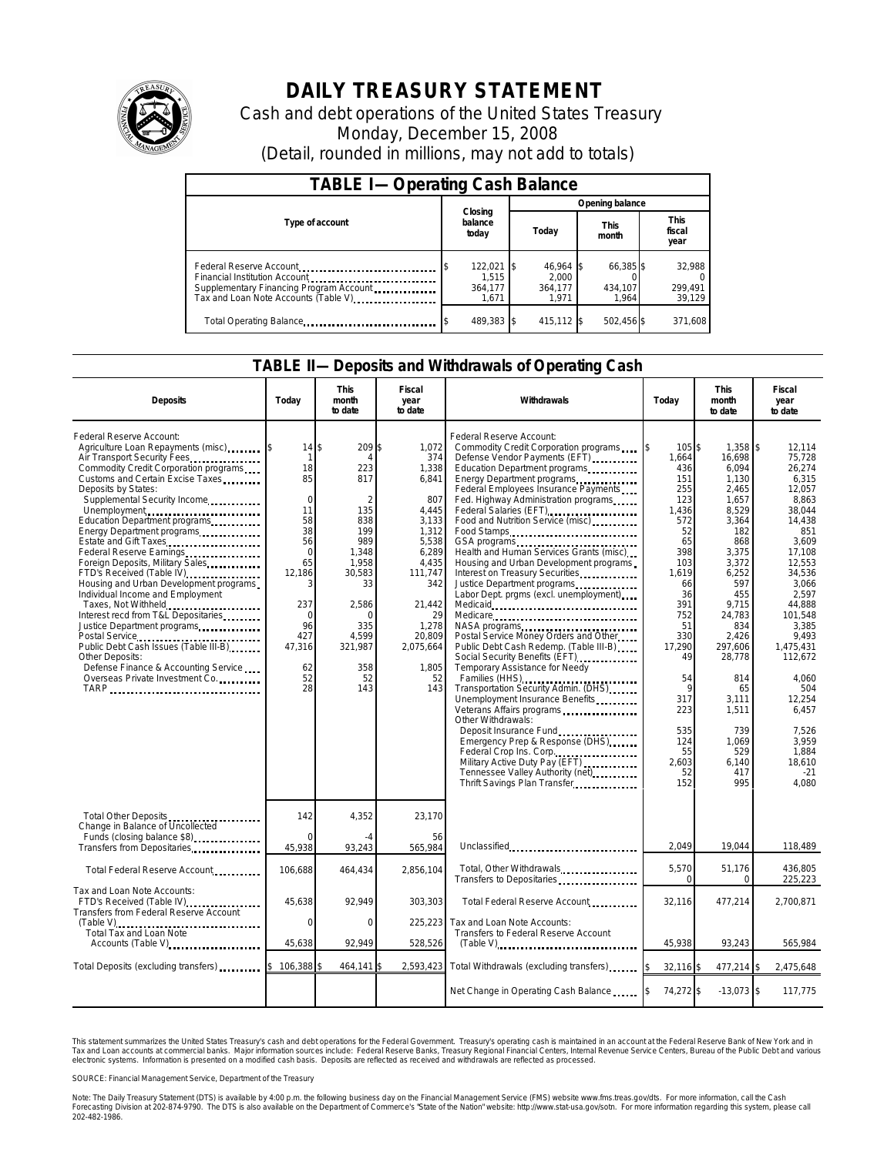

# **DAILY TREASURY STATEMENT**

Cash and debt operations of the United States Treasury Monday, December 15, 2008 (Detail, rounded in millions, may not add to totals)

| <b>TABLE I-Operating Cash Balance</b>                                                                                                       |                                      |                                        |                               |                               |  |  |
|---------------------------------------------------------------------------------------------------------------------------------------------|--------------------------------------|----------------------------------------|-------------------------------|-------------------------------|--|--|
|                                                                                                                                             |                                      | Opening balance                        |                               |                               |  |  |
| Type of account                                                                                                                             | Closing<br>balance<br>today          | Today                                  | <b>This</b><br>month          | <b>This</b><br>fiscal<br>year |  |  |
| Federal Reserve Account<br>Financial Institution Account<br>Supplementary Financing Program Account<br>Tax and Loan Note Accounts (Table V) | 122,021<br>1.515<br>364,177<br>1.671 | 46.964 \$<br>2.000<br>364.177<br>1.971 | 66,385 \$<br>434.107<br>1.964 | 32,988<br>299,491<br>39,129   |  |  |
| Total Operating Balance                                                                                                                     | 489.383 \$                           | 415,112 \$                             | 502.456 \$                    | 371.608                       |  |  |

#### **TABLE II—Deposits and Withdrawals of Operating Cash**

| <b>Deposits</b>                                                                                                                                                                                                                                                                                                                                                                                                                                                                                                                                                                                                                                                                                                                                                  | Today                                                                                                                                              | <b>This</b><br>month<br>to date                                                                                                                                      | Fiscal<br>year<br>to date                                                                                                                                                           | <b>Withdrawals</b>                                                                                                                                                                                                                                                                                                                                                                                                                                                                                                                                                                                                                                                                                                                                                                                                                                                                                                                                                                                                                                                | Today                                                                                                                                                                                                                   | <b>This</b><br>month<br>to date                                                                                                                                                                                                                                         | <b>Fiscal</b><br>year<br>to date                                                                                                                                                                                                                                                                    |
|------------------------------------------------------------------------------------------------------------------------------------------------------------------------------------------------------------------------------------------------------------------------------------------------------------------------------------------------------------------------------------------------------------------------------------------------------------------------------------------------------------------------------------------------------------------------------------------------------------------------------------------------------------------------------------------------------------------------------------------------------------------|----------------------------------------------------------------------------------------------------------------------------------------------------|----------------------------------------------------------------------------------------------------------------------------------------------------------------------|-------------------------------------------------------------------------------------------------------------------------------------------------------------------------------------|-------------------------------------------------------------------------------------------------------------------------------------------------------------------------------------------------------------------------------------------------------------------------------------------------------------------------------------------------------------------------------------------------------------------------------------------------------------------------------------------------------------------------------------------------------------------------------------------------------------------------------------------------------------------------------------------------------------------------------------------------------------------------------------------------------------------------------------------------------------------------------------------------------------------------------------------------------------------------------------------------------------------------------------------------------------------|-------------------------------------------------------------------------------------------------------------------------------------------------------------------------------------------------------------------------|-------------------------------------------------------------------------------------------------------------------------------------------------------------------------------------------------------------------------------------------------------------------------|-----------------------------------------------------------------------------------------------------------------------------------------------------------------------------------------------------------------------------------------------------------------------------------------------------|
| Federal Reserve Account:<br>Agriculture Loan Repayments (misc)<br>Air Transport Security Fees<br>Commodity Credit Corporation programs<br>Customs and Certain Excise Taxes<br>Deposits by States:<br>Supplemental Security Income<br>Unemployment<br>Education Department programs<br>Energy Department programs<br>Estate and Gift Taxes<br>Federal Reserve Earnings<br>Foreign Deposits, Military Sales<br>FTD's Received (Table IV)<br>Housing and Urban Development programs<br>Individual Income and Employment<br>Taxes, Not Withheld<br>Interest recd from T&L Depositaries<br>Justice Department programs<br>Public Debt Cash Issues (Table III-B)<br>Other Deposits:<br>Defense Finance & Accounting Service<br>Overseas Private Investment Co.<br>TARP | 14<br>1<br>18<br>85<br>$\mathbf 0$<br>11<br>58<br>38<br>56<br>$\Omega$<br>65<br>12,186<br>237<br>$\Omega$<br>96<br>427<br>47,316<br>62<br>52<br>28 | 209<br>\$<br>223<br>817<br>$\overline{2}$<br>135<br>838<br>199<br>989<br>1,348<br>1,958<br>30,583<br>33<br>2,586<br>n<br>335<br>4,599<br>321,987<br>358<br>52<br>143 | 1,072<br>374<br>1,338<br>6,841<br>807<br>4,445<br>3,133<br>1,312<br>5,538<br>6,289<br>4,435<br>111,747<br>342<br>21.442<br>29<br>1,278<br>20,809<br>2,075,664<br>1,805<br>52<br>143 | Federal Reserve Account:<br>Commodity Credit Corporation programs<br>Defense Vendor Payments (EFT)<br>Education Department programs<br>Energy Department programs<br>Federal Employees Insurance Payments<br>Fed. Highway Administration programs<br>Federal Salaries (EFT)<br>Food and Nutrition Service (misc)<br>Food Stamps<br>Health and Human Services Grants (misc)<br>Housing and Urban Development programs<br>Interest on Treasury Securities.<br>Justice Department programs<br>Labor Dept. prgms (excl. unemployment)<br>Medicare<br>NASA programs<br>Postal Service Money Orders and Other<br>Public Debt Cash Redemp. (Table III-B)<br>Social Security Benefits (EFT).<br>Temporary Assistance for Needy<br>Families (HHS)<br>Families (HHS)<br>1<br>Transportation Security Admin. (DHS)<br>Unemployment Insurance Benefits<br>Veterans Affairs programs<br>Other Withdrawals:<br>Emergency Prep & Response (DHS)<br>Federal Crop Ins. Corp.<br>Military Active Duty Pay (EFT)<br>Tennessee Valley Authority (net)<br>Thrift Savings Plan Transfer | 105\$<br>1.664<br>436<br>151<br>255<br>123<br>1,436<br>572<br>52<br>65<br>398<br>103<br>1,619<br>66<br>36<br>391<br>752<br>51<br>330<br>17,290<br>49<br>54<br>9<br>317<br>223<br>535<br>124<br>55<br>2.603<br>52<br>152 | $1,358$ \\$<br>16.698<br>6.094<br>1,130<br>2.465<br>1,657<br>8,529<br>3,364<br>182<br>868<br>3,375<br>3,372<br>6,252<br>597<br>455<br>9.715<br>24,783<br>834<br>2,426<br>297,606<br>28,778<br>814<br>65<br>3.111<br>1,511<br>739<br>1.069<br>529<br>6.140<br>417<br>995 | 12.114<br>75.728<br>26,274<br>6.315<br>12.057<br>8,863<br>38,044<br>14,438<br>851<br>3,609<br>17,108<br>12,553<br>34,536<br>3.066<br>2.597<br>44.888<br>101,548<br>3,385<br>9.493<br>1,475,431<br>112,672<br>4,060<br>504<br>12.254<br>6.457<br>7,526<br>3.959<br>1.884<br>18.610<br>$-21$<br>4.080 |
| Total Other Deposits<br>Change in Balance of Uncollected<br>Funds (closing balance \$8)                                                                                                                                                                                                                                                                                                                                                                                                                                                                                                                                                                                                                                                                          | 142<br>$\Omega$                                                                                                                                    | 4,352                                                                                                                                                                | 23.170<br>56                                                                                                                                                                        |                                                                                                                                                                                                                                                                                                                                                                                                                                                                                                                                                                                                                                                                                                                                                                                                                                                                                                                                                                                                                                                                   |                                                                                                                                                                                                                         |                                                                                                                                                                                                                                                                         |                                                                                                                                                                                                                                                                                                     |
| Transfers from Depositaries                                                                                                                                                                                                                                                                                                                                                                                                                                                                                                                                                                                                                                                                                                                                      | 45,938                                                                                                                                             | 93,243                                                                                                                                                               | 565,984                                                                                                                                                                             | Unclassified                                                                                                                                                                                                                                                                                                                                                                                                                                                                                                                                                                                                                                                                                                                                                                                                                                                                                                                                                                                                                                                      | 2.049                                                                                                                                                                                                                   | 19,044                                                                                                                                                                                                                                                                  | 118,489                                                                                                                                                                                                                                                                                             |
| Total Federal Reserve Account                                                                                                                                                                                                                                                                                                                                                                                                                                                                                                                                                                                                                                                                                                                                    | 106,688                                                                                                                                            | 464,434                                                                                                                                                              | 2,856,104                                                                                                                                                                           | Total, Other Withdrawals<br>Transfers to Depositaries                                                                                                                                                                                                                                                                                                                                                                                                                                                                                                                                                                                                                                                                                                                                                                                                                                                                                                                                                                                                             | 5,570<br>$\Omega$                                                                                                                                                                                                       | 51,176<br>$\mathbf 0$                                                                                                                                                                                                                                                   | 436.805<br>225,223                                                                                                                                                                                                                                                                                  |
| Tax and Loan Note Accounts:<br>FTD's Received (Table IV)<br>Transfers from Federal Reserve Account                                                                                                                                                                                                                                                                                                                                                                                                                                                                                                                                                                                                                                                               | 45,638                                                                                                                                             | 92,949                                                                                                                                                               | 303,303                                                                                                                                                                             | Total Federal Reserve Account                                                                                                                                                                                                                                                                                                                                                                                                                                                                                                                                                                                                                                                                                                                                                                                                                                                                                                                                                                                                                                     | 32,116                                                                                                                                                                                                                  | 477,214                                                                                                                                                                                                                                                                 | 2,700,871                                                                                                                                                                                                                                                                                           |
| (Table V)<br>Total Tax and Loan Note                                                                                                                                                                                                                                                                                                                                                                                                                                                                                                                                                                                                                                                                                                                             | $\Omega$<br>45,638                                                                                                                                 | $\Omega$<br>92,949                                                                                                                                                   | 225,223                                                                                                                                                                             | Tax and Loan Note Accounts:<br>Transfers to Federal Reserve Account                                                                                                                                                                                                                                                                                                                                                                                                                                                                                                                                                                                                                                                                                                                                                                                                                                                                                                                                                                                               | 45,938                                                                                                                                                                                                                  |                                                                                                                                                                                                                                                                         | 565,984                                                                                                                                                                                                                                                                                             |
| Accounts (Table V)                                                                                                                                                                                                                                                                                                                                                                                                                                                                                                                                                                                                                                                                                                                                               |                                                                                                                                                    |                                                                                                                                                                      | 528,526                                                                                                                                                                             |                                                                                                                                                                                                                                                                                                                                                                                                                                                                                                                                                                                                                                                                                                                                                                                                                                                                                                                                                                                                                                                                   |                                                                                                                                                                                                                         | 93,243                                                                                                                                                                                                                                                                  |                                                                                                                                                                                                                                                                                                     |
| Total Deposits (excluding transfers)                                                                                                                                                                                                                                                                                                                                                                                                                                                                                                                                                                                                                                                                                                                             | 106,388                                                                                                                                            | 464.141                                                                                                                                                              | 2,593,423                                                                                                                                                                           | Total Withdrawals (excluding transfers)                                                                                                                                                                                                                                                                                                                                                                                                                                                                                                                                                                                                                                                                                                                                                                                                                                                                                                                                                                                                                           | 32,116 \$                                                                                                                                                                                                               | 477,214 \$                                                                                                                                                                                                                                                              | 2.475.648                                                                                                                                                                                                                                                                                           |
|                                                                                                                                                                                                                                                                                                                                                                                                                                                                                                                                                                                                                                                                                                                                                                  |                                                                                                                                                    |                                                                                                                                                                      |                                                                                                                                                                                     | Net Change in Operating Cash Balance                                                                                                                                                                                                                                                                                                                                                                                                                                                                                                                                                                                                                                                                                                                                                                                                                                                                                                                                                                                                                              | 74,272 \$<br>$\mathsf{ls}$                                                                                                                                                                                              | $-13,073$ \$                                                                                                                                                                                                                                                            | 117,775                                                                                                                                                                                                                                                                                             |

This statement summarizes the United States Treasury's cash and debt operations for the Federal Government. Treasury's operating cash is maintained in an account at the Federal Reserve Bank of New York and in<br>Tax and Loan electronic systems. Information is presented on a modified cash basis. Deposits are reflected as received and withdrawals are reflected as processed.

SOURCE: Financial Management Service, Department of the Treasury

Note: The Daily Treasury Statement (DTS) is available by 4:00 p.m. the following business day on the Financial Management Service (FMS) website www.fms.treas.gov/dts. For more information, call the Cash Forecasting Division at 202-874-9790. The DTS is also available on the Department of Commerce's "State of the Nation" website: http://www.stat-usa.gov/sotn. For more information regarding this system, please call<br>202-482-1